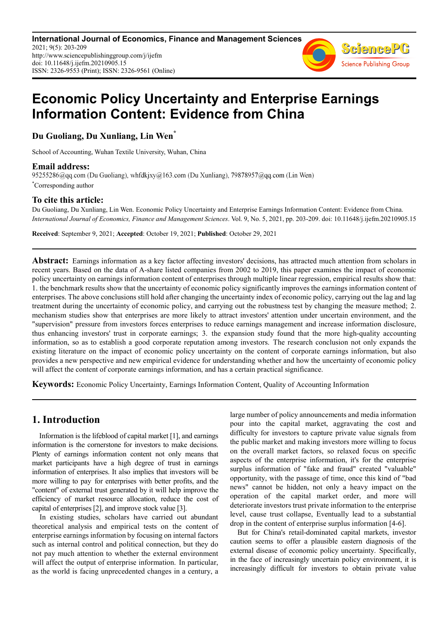**International Journal of Economics, Finance and Management Sciences** 2021; 9(5): 203-209 http://www.sciencepublishinggroup.com/j/ijefm doi: 10.11648/j.ijefm.20210905.15 ISSN: 2326-9553 (Print); ISSN: 2326-9561 (Online)



# **Economic Policy Uncertainty and Enterprise Earnings Information Content: Evidence from China**

**Du Guoliang, Du Xunliang, Lin Wen\***

School of Accounting, Wuhan Textile University, Wuhan, China

**Email address:**<br>95255286@qq.com (Du Guoliang), whfdkjxy@163.com (Du Xunliang), 79878957@qq.com (Lin Wen) \*Corresponding author

## **To cite this article:**

Du Guoliang, Du Xunliang, Lin Wen. Economic Policy Uncertainty and Enterprise Earnings Information Content: Evidence from China. *International Journal of Economics, Finance and Management Sciences*. Vol. 9, No. 5, 2021, pp. 203-209. doi: 10.11648/j.ijefm.20210905.15

**Received**: September 9, 2021; **Accepted**: October 19, 2021; **Published**: October 29, 2021

**Abstract:** Earnings information as a key factor affecting investors' decisions, has attracted much attention from scholars in recent years. Based on the data of A-share listed companies from 2002 to 2019, this paper examines the impact of economic policy uncertainty on earnings information content of enterprises through multiple linear regression, empirical results show that: 1. the benchmark results show that the uncertainty of economic policy significantly improves the earnings information content of enterprises. The above conclusions still hold after changing the uncertainty index of economic policy, carrying out the lag and lag treatment during the uncertainty of economic policy, and carrying out the robustness test by changing the measure method; 2. mechanism studies show that enterprises are more likely to attract investors' attention under uncertain environment, and the "supervision" pressure from investors forces enterprises to reduce earnings management and increase information disclosure, thus enhancing investors' trust in corporate earnings; 3. the expansion study found that the more high-quality accounting information, so as to establish a good corporate reputation among investors. The research conclusion not only expands the existing literature on the impact of economic policy uncertainty on the content of corporate earnings information, but also provides a new perspective and new empirical evidence for understanding whether and how the uncertainty of economic policy will affect the content of corporate earnings information, and has a certain practical significance.

**Keywords:** Economic Policy Uncertainty, Earnings Information Content, Quality of Accounting Information

## **1. Introduction**

Information is the lifeblood of capital market [1], and earnings information is the cornerstone for investors to make decisions. Plenty of earnings information content not only means that market participants have a high degree of trust in earnings information of enterprises. It also implies that investors will be more willing to pay for enterprises with better profits, and the "content" of external trust generated by it will help improve the efficiency of market resource allocation, reduce the cost of capital of enterprises [2], and improve stock value [3].

In existing studies, scholars have carried out abundant theoretical analysis and empirical tests on the content of enterprise earnings information by focusing on internal factors such as internal control and political connection, but they do not pay much attention to whether the external environment will affect the output of enterprise information. In particular, as the world is facing unprecedented changes in a century, a

large number of policy announcements and media information pour into the capital market, aggravating the cost and difficulty for investors to capture private value signals from the public market and making investors more willing to focus on the overall market factors, so relaxed focus on specific aspects of the enterprise information, it's for the enterprise surplus information of "fake and fraud" created "valuable" opportunity, with the passage of time, once this kind of "bad news" cannot be hidden, not only a heavy impact on the operation of the capital market order, and more will deteriorate investors trust private information to the enterprise level, cause trust collapse, Eventually lead to a substantial drop in the content of enterprise surplus information [4-6].

But for China's retail-dominated capital markets, investor caution seems to offer a plausible eastern diagnosis of the external disease of economic policy uncertainty. Specifically, in the face of increasingly uncertain policy environment, it is increasingly difficult for investors to obtain private value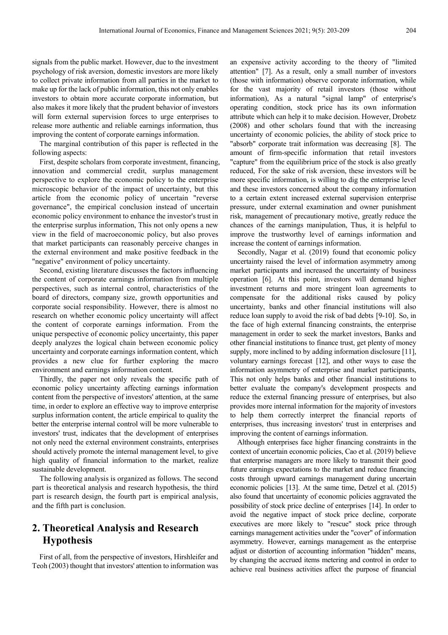signals from the public market. However, due to the investment psychology of risk aversion, domestic investors are more likely to collect private information from all parties in the market to make up for the lack of public information, this not only enables investors to obtain more accurate corporate information, but also makes it more likely that the prudent behavior of investors will form external supervision forces to urge enterprises to release more authentic and reliable earnings information, thus improving the content of corporate earnings information.

The marginal contribution of this paper is reflected in the following aspects:

First, despite scholars from corporate investment, financing, innovation and commercial credit, surplus management perspective to explore the economic policy to the enterprise microscopic behavior of the impact of uncertainty, but this article from the economic policy of uncertain "reverse governance", the empirical conclusion instead of uncertain economic policy environment to enhance the investor's trust in the enterprise surplus information, This not only opens a new view in the field of macroeconomic policy, but also proves that market participants can reasonably perceive changes in the external environment and make positive feedback in the "negative" environment of policy uncertainty.

Second, existing literature discusses the factors influencing the content of corporate earnings information from multiple perspectives, such as internal control, characteristics of the board of directors, company size, growth opportunities and corporate social responsibility. However, there is almost no research on whether economic policy uncertainty will affect the content of corporate earnings information. From the unique perspective of economic policy uncertainty, this paper deeply analyzes the logical chain between economic policy uncertainty and corporate earnings information content, which provides a new clue for further exploring the macro environment and earnings information content.

Thirdly, the paper not only reveals the specific path of economic policy uncertainty affecting earnings information content from the perspective of investors' attention, at the same time, in order to explore an effective way to improve enterprise surplus information content, the article empirical to quality the better the enterprise internal control will be more vulnerable to investors' trust, indicates that the development of enterprises not only need the external environment constraints, enterprises should actively promote the internal management level, to give high quality of financial information to the market, realize sustainable development.

The following analysis is organized as follows. The second part is theoretical analysis and research hypothesis, the third part is research design, the fourth part is empirical analysis, and the fifth part is conclusion.

## **2. Theoretical Analysis and Research Hypothesis**

First of all, from the perspective of investors, Hirshleifer and Teoh (2003) thought that investors' attention to information was an expensive activity according to the theory of "limited attention" [7]. As a result, only a small number of investors (those with information) observe corporate information, while for the vast majority of retail investors (those without information), As a natural "signal lamp" of enterprise's operating condition, stock price has its own information attribute which can help it to make decision. However, Drobetz (2008) and other scholars found that with the increasing uncertainty of economic policies, the ability of stock price to "absorb" corporate trait information was decreasing [8]. The amount of firm-specific information that retail investors "capture" from the equilibrium price of the stock is also greatly reduced, For the sake of risk aversion, these investors will be more specific information, is willing to dig the enterprise level and these investors concerned about the company information to a certain extent increased external supervision enterprise pressure, under external examination and owner punishment risk, management of precautionary motive, greatly reduce the chances of the earnings manipulation, Thus, it is helpful to improve the trustworthy level of earnings information and increase the content of earnings information.

Secondly, Nagar et al. (2019) found that economic policy uncertainty raised the level of information asymmetry among market participants and increased the uncertainty of business operation [6]. At this point, investors will demand higher investment returns and more stringent loan agreements to compensate for the additional risks caused by policy uncertainty, banks and other financial institutions will also reduce loan supply to avoid the risk of bad debts [9-10]. So, in the face of high external financing constraints, the enterprise management in order to seek the market investors, Banks and other financial institutions to finance trust, get plenty of money supply, more inclined to by adding information disclosure [11], voluntary earnings forecast [12], and other ways to ease the information asymmetry of enterprise and market participants, This not only helps banks and other financial institutions to better evaluate the company's development prospects and reduce the external financing pressure of enterprises, but also provides more internal information for the majority of investors to help them correctly interpret the financial reports of enterprises, thus increasing investors' trust in enterprises and improving the content of earnings information.

Although enterprises face higher financing constraints in the context of uncertain economic policies, Cao et al. (2019) believe that enterprise managers are more likely to transmit their good future earnings expectations to the market and reduce financing costs through upward earnings management during uncertain economic policies [13]. At the same time, Detzel et al. (2015) also found that uncertainty of economic policies aggravated the possibility of stock price decline of enterprises [14]. In order to avoid the negative impact of stock price decline, corporate executives are more likely to "rescue" stock price through earnings management activities under the "cover" of information asymmetry. However, earnings management as the enterprise adjust or distortion of accounting information "hidden" means, by changing the accrued items metering and control in order to achieve real business activities affect the purpose of financial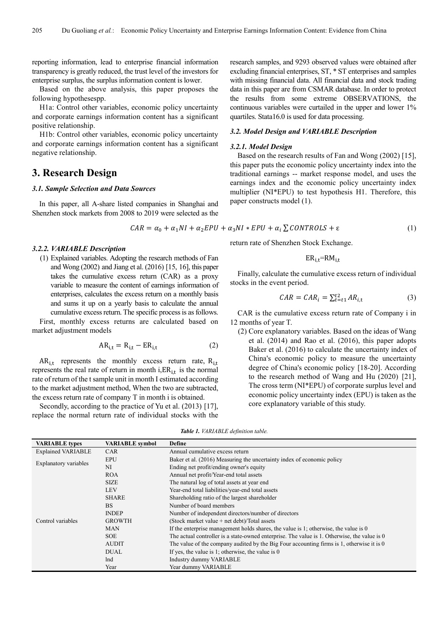reporting information, lead to enterprise financial information transparency is greatly reduced, the trust level of the investors for enterprise surplus, the surplus information content is lower.

Based on the above analysis, this paper proposes the following hypothesespp.

H1a: Control other variables, economic policy uncertainty and corporate earnings information content has a significant positive relationship.

H1b: Control other variables, economic policy uncertainty and corporate earnings information content has a significant negative relationship.

## **3. Research Design**

*3.2.2. VARIABLE Description* 

market adjustment models

#### *3.1. Sample Selection and Data Sources*

In this paper, all A-share listed companies in Shanghai and Shenzhen stock markets from 2008 to 2019 were selected as the

(1) Explained variables. Adopting the research methods of Fan and Wong (2002) and Jiang et al. (2016) [15, 16], this paper takes the cumulative excess return (CAR) as a proxy variable to measure the content of earnings information of enterprises, calculates the excess return on a monthly basis and sums it up on a yearly basis to calculate the annual cumulative excess return. The specific process is as follows. First, monthly excess returns are calculated based on

$$
CAR = \alpha_0 + \alpha_1 NI + \alpha_2 EPU + \alpha_3 NI * EPU + \alpha_i \sum CONTROLS + \varepsilon
$$
 (1)

## return rate of Shenzhen Stock Exchange.

$$
ER_{i,t} = RM_{i,t}
$$

Finally, calculate the cumulative excess return of individual stocks in the event period.

$$
CAR = CAR_i = \sum_{t=t1}^{t2} AR_{i,t}
$$
 (3)

CAR is the cumulative excess return rate of Company i in 12 months of year T.

(2) Core explanatory variables. Based on the ideas of Wang et al. (2014) and Rao et al. (2016), this paper adopts Baker et al. (2016) to calculate the uncertainty index of China's economic policy to measure the uncertainty degree of China's economic policy [18-20]. According to the research method of Wang and Hu (2020) [21], The cross term (NI\*EPU) of corporate surplus level and economic policy uncertainty index (EPU) is taken as the core explanatory variable of this study.

replace the normal return rate of individual stocks with the

 $AR_{i,t}$  represents the monthly excess return rate,  $R_{i,t}$ represents the real rate of return in month i, $ER_{i,t}$  is the normal rate of return of the t sample unit in month I estimated according to the market adjustment method, When the two are subtracted, the excess return rate of company T in month i is obtained. Secondly, according to the practice of Yu et al. (2013) [17],

 $AR_{i,t} = R_{i,t} - ER_{i,t}$  (2)

*Table 1. VARIABLE definition table.* 

| <b>VARIABLE</b> types     | <b>VARIABLE</b> symbol | Define                                                                                       |  |  |
|---------------------------|------------------------|----------------------------------------------------------------------------------------------|--|--|
| <b>Explained VARIABLE</b> | <b>CAR</b>             | Annual cumulative excess return                                                              |  |  |
|                           | <b>EPU</b>             | Baker et al. (2016) Measuring the uncertainty index of economic policy                       |  |  |
| Explanatory variables     | NI                     | Ending net profit/ending owner's equity                                                      |  |  |
|                           | <b>ROA</b>             | Annual net profit/Year-end total assets                                                      |  |  |
|                           | <b>SIZE</b>            | The natural log of total assets at year end                                                  |  |  |
|                           | <b>LEV</b>             | Year-end total liabilities/year-end total assets                                             |  |  |
|                           | <b>SHARE</b>           | Shareholding ratio of the largest shareholder                                                |  |  |
|                           | <b>BS</b>              | Number of board members                                                                      |  |  |
|                           | <b>INDEP</b>           | Number of independent directors/number of directors                                          |  |  |
| Control variables         | <b>GROWTH</b>          | (Stock market value + net debt)/Total assets                                                 |  |  |
|                           | <b>MAN</b>             | If the enterprise management holds shares, the value is 1; otherwise, the value is 0         |  |  |
|                           | <b>SOE</b>             | The actual controller is a state-owned enterprise. The value is 1. Otherwise, the value is 0 |  |  |
|                           | <b>AUDIT</b>           | The value of the company audited by the Big Four accounting firms is 1, otherwise it is 0    |  |  |
|                           | <b>DUAL</b>            | If yes, the value is 1; otherwise, the value is $0$                                          |  |  |
|                           | lnd                    | Industry dummy VARIABLE                                                                      |  |  |
|                           | Year                   | Year dummy VARIABLE                                                                          |  |  |

research samples, and 9293 observed values were obtained after excluding financial enterprises, ST, \* ST enterprises and samples with missing financial data. All financial data and stock trading data in this paper are from CSMAR database. In order to protect the results from some extreme OBSERVATIONS, the continuous variables were curtailed in the upper and lower 1% quartiles. Stata16.0 is used for data processing.

#### *3.2. Model Design and VARIABLE Description*

#### *3.2.1. Model Design*

Based on the research results of Fan and Wong (2002) [15], this paper puts the economic policy uncertainty index into the traditional earnings -- market response model, and uses the earnings index and the economic policy uncertainty index multiplier (NI\*EPU) to test hypothesis H1. Therefore, this paper constructs model (1).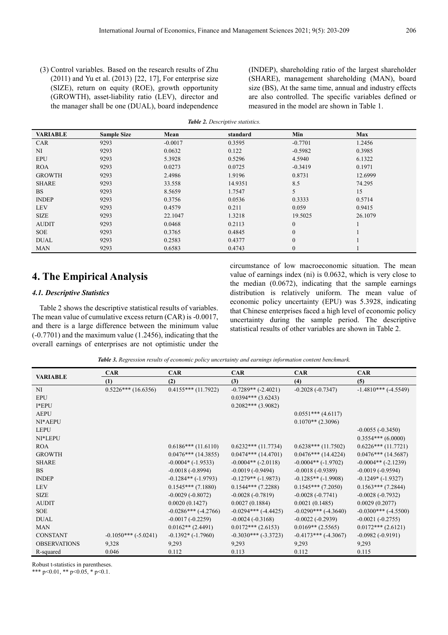(3) Control variables. Based on the research results of Zhu (2011) and Yu et al. (2013) [22, 17], For enterprise size (SIZE), return on equity (ROE), growth opportunity (GROWTH), asset-liability ratio (LEV), director and the manager shall be one (DUAL), board independence (INDEP), shareholding ratio of the largest shareholder (SHARE), management shareholding (MAN), board size (BS), At the same time, annual and industry effects are also controlled. The specific variables defined or measured in the model are shown in Table 1.

| <b>Role 2.</b> Descriptive statistics. |                    |           |          |              |            |  |
|----------------------------------------|--------------------|-----------|----------|--------------|------------|--|
| <b>VARIABLE</b>                        | <b>Sample Size</b> | Mean      | standard | Min          | <b>Max</b> |  |
| <b>CAR</b>                             | 9293               | $-0.0017$ | 0.3595   | $-0.7701$    | 1.2456     |  |
| NI                                     | 9293               | 0.0632    | 0.122    | $-0.5982$    | 0.3985     |  |
| <b>EPU</b>                             | 9293               | 5.3928    | 0.5296   | 4.5940       | 6.1322     |  |
| <b>ROA</b>                             | 9293               | 0.0273    | 0.0725   | $-0.3419$    | 0.1971     |  |
| <b>GROWTH</b>                          | 9293               | 2.4986    | 1.9196   | 0.8731       | 12.6999    |  |
| <b>SHARE</b>                           | 9293               | 33.558    | 14.9351  | 8.5          | 74.295     |  |
| <b>BS</b>                              | 9293               | 8.5659    | 1.7547   | 5            | 15         |  |
| <b>INDEP</b>                           | 9293               | 0.3756    | 0.0536   | 0.3333       | 0.5714     |  |
| <b>LEV</b>                             | 9293               | 0.4579    | 0.211    | 0.059        | 0.9415     |  |
| <b>SIZE</b>                            | 9293               | 22.1047   | 1.3218   | 19.5025      | 26.1079    |  |
| <b>AUDIT</b>                           | 9293               | 0.0468    | 0.2113   | $\mathbf{0}$ |            |  |
| <b>SOE</b>                             | 9293               | 0.3765    | 0.4845   | $\Omega$     |            |  |
| <b>DUAL</b>                            | 9293               | 0.2583    | 0.4377   | $\mathbf{0}$ |            |  |
| <b>MAN</b>                             | 9293               | 0.6583    | 0.4743   | $\theta$     |            |  |

## *Table 2. Descriptive statistics.*

## **4. The Empirical Analysis**

## *4.1. Descriptive Statistics*

Table 2 shows the descriptive statistical results of variables. The mean value of cumulative excess return (CAR) is -0.0017, and there is a large difference between the minimum value (-0.7701) and the maximum value (1.2456), indicating that the overall earnings of enterprises are not optimistic under the circumstance of low macroeconomic situation. The mean value of earnings index (ni) is 0.0632, which is very close to the median (0.0672), indicating that the sample earnings distribution is relatively uniform. The mean value of economic policy uncertainty (EPU) was 5.3928, indicating that Chinese enterprises faced a high level of economic policy uncertainty during the sample period. The descriptive statistical results of other variables are shown in Table 2.

*Table 3. Regression results of economic policy uncertainty and earnings information content benchmark.* 

| <b>VARIABLE</b>     | <b>CAR</b>                 | <b>CAR</b>               | <b>CAR</b>                | <b>CAR</b>               | <b>CAR</b>             |
|---------------------|----------------------------|--------------------------|---------------------------|--------------------------|------------------------|
|                     | (1)                        | (2)                      | (3)                       | (4)                      | (5)                    |
| NI                  | $0.5226***$ (16.6356)      | $0.4155***(11.7922)$     | $-0.7289**(-2.4021)$      | $-0.2028(-0.7347)$       | $-1.4810***$ (-4.5549) |
| <b>EPU</b>          |                            |                          | $0.0394***$ (3.6243)      |                          |                        |
| $I*EPU$             |                            |                          | $0.2082***$ (3.9082)      |                          |                        |
| <b>AEPU</b>         |                            |                          |                           | $0.0551***$ (4.6117)     |                        |
| NI*AEPU             |                            |                          |                           | $0.1070**$ (2.3096)      |                        |
| <b>LEPU</b>         |                            |                          |                           |                          | $-0.0055(-0.3450)$     |
| NI*LEPU             |                            |                          |                           |                          | $0.3554***$ (6.0000)   |
| <b>ROA</b>          |                            | $0.6186***(11.6110)$     | $0.6232***(11.7734)$      | $0.6238***(11.7502)$     | $0.6226***(11.7721)$   |
| <b>GROWTH</b>       |                            | $0.0476***$ (14.3855)    | $0.0474***$ (14.4701)     | $0.0476***$ (14.4224)    | $0.0476***$ (14.5687)  |
| <b>SHARE</b>        |                            | $-0.0004*$ ( $-1.9533$ ) | $-0.0004**$ ( $-2.0118$ ) | $-0.0004**(-1.9702)$     | $-0.0004**(-2.1239)$   |
| <b>BS</b>           |                            | $-0.0018(-0.8994)$       | $-0.0019(-0.9494)$        | $-0.0018(-0.9389)$       | $-0.0019(-0.9594)$     |
| <b>INDEP</b>        |                            | $-0.1284**(-1.9793)$     | $-0.1279**(-1.9873)$      | $-0.1285**(-1.9908)$     | $-0.1249*$ $(-1.9327)$ |
| <b>LEV</b>          |                            | $0.1545***$ (7.1880)     | $0.1544***$ (7.2288)      | $0.1545***$ (7.2050)     | $0.1563***$ (7.2844)   |
| <b>SIZE</b>         |                            | $-0.0029(-0.8072)$       | $-0.0028(-0.7819)$        | $-0.0028(-0.7741)$       | $-0.0028(-0.7932)$     |
| <b>AUDIT</b>        |                            | 0.0020(0.1427)           | 0.0027(0.1884)            | 0.0021(0.1485)           | 0.0029(0.2077)         |
| <b>SOE</b>          |                            | $-0.0286***$ (-4.2766)   | $-0.0294***$ $(-4.4425)$  | $-0.0290***$ (-4.3640)   | $-0.0300***$ (-4.5500) |
| <b>DUAL</b>         |                            | $-0.0017(-0.2259)$       | $-0.0024(-0.3168)$        | $-0.0022(-0.2939)$       | $-0.0021(-0.2755)$     |
| <b>MAN</b>          |                            | $0.0162**$ (2.4491)      | $0.0172***$ (2.6153)      | $0.0169**$ (2.5565)      | $0.0172$ *** (2.6121)  |
| <b>CONSTANT</b>     | $-0.1050***$ ( $-5.0241$ ) | $-0.1392*(-1.7960)$      | $-0.3030***$ (-3.3723)    | $-0.4173***$ $(-4.3067)$ | $-0.0982(-0.9191)$     |
| <b>OBSERVATIONS</b> | 9,328                      | 9,293                    | 9,293                     | 9,293                    | 9,293                  |
| R-squared           | 0.046                      | 0.112                    | 0.113                     | 0.112                    | 0.115                  |

Robust t-statistics in parentheses.

\*\*\* p<0.01, \*\* p<0.05, \* p<0.1.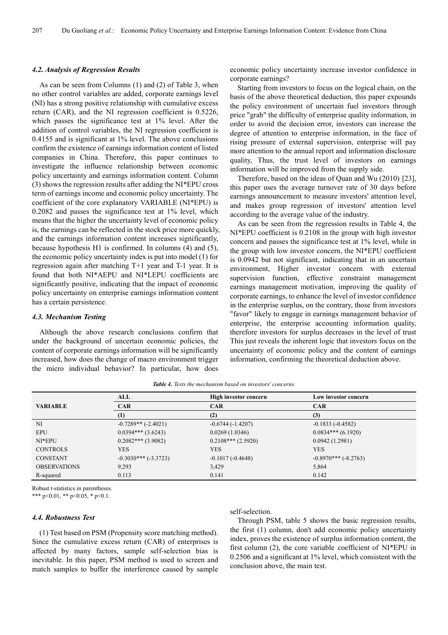#### *4.2. Analysis of Regression Results*

As can be seen from Columns (1) and (2) of Table 3, when no other control variables are added, corporate earnings level (NI) has a strong positive relationship with cumulative excess return (CAR), and the NI regression coefficient is 0.5226, which passes the significance test at 1% level. After the addition of control variables, the NI regression coefficient is 0.4155 and is significant at 1% level. The above conclusions confirm the existence of earnings information content of listed companies in China. Therefore, this paper continues to investigate the influence relationship between economic policy uncertainty and earnings information content. Column (3) shows the regression results after adding the NI\*EPU cross term of earnings income and economic policy uncertainty. The coefficient of the core explanatory VARIABLE (NI\*EPU) is 0.2082 and passes the significance test at 1% level, which means that the higher the uncertainty level of economic policy is, the earnings can be reflected in the stock price more quickly, and the earnings information content increases significantly, because hypothesis H1 is confirmed. In columns (4) and (5), the economic policy uncertainty index is put into model (1) for regression again after matching T+1 year and T-1 year. It is found that both NI\*AEPU and NI\*LEPU coefficients are significantly positive, indicating that the impact of economic policy uncertainty on enterprise earnings information content has a certain persistence.

## *4.3. Mechanism Testing*

Although the above research conclusions confirm that under the background of uncertain economic policies, the content of corporate earnings information will be significantly increased, how does the change of macro environment trigger the micro individual behavior? In particular, how does

economic policy uncertainty increase investor confidence in corporate earnings?

Starting from investors to focus on the logical chain, on the basis of the above theoretical deduction, this paper expounds the policy environment of uncertain fuel investors through price "grab" the difficulty of enterprise quality information, in order to avoid the decision error, investors can increase the degree of attention to enterprise information, in the face of rising pressure of external supervision, enterprise will pay more attention to the annual report and information disclosure quality, Thus, the trust level of investors on earnings information will be improved from the supply side.

Therefore, based on the ideas of Quan and Wu (2010) [23], this paper uses the average turnover rate of 30 days before earnings announcement to measure investors' attention level, and makes group regression of investors' attention level according to the average value of the industry.

As can be seen from the regression results in Table 4, the NI\*EPU coefficient is 0.2108 in the group with high investor concern and passes the significance test at 1% level, while in the group with low investor concern, the NI\*EPU coefficient is 0.0942 but not significant, indicating that in an uncertain environment, Higher investor concern with external supervision function, effective constraint management earnings management motivation, improving the quality of corporate earnings, to enhance the level of investor confidence in the enterprise surplus, on the contrary, those from investors "favor" likely to engage in earnings management behavior of enterprise, the enterprise accounting information quality, therefore investors for surplus decreases in the level of trust This just reveals the inherent logic that investors focus on the uncertainty of economic policy and the content of earnings information, confirming the theoretical deduction above.

|                     | <b>ALL</b>            | High investor concern | Low investor concern   |
|---------------------|-----------------------|-----------------------|------------------------|
| <b>VARIABLE</b>     | <b>CAR</b>            | <b>CAR</b>            | <b>CAR</b>             |
|                     | (1)                   | (2)                   | (3)                    |
| NI                  | $-0.7289**(-2.4021)$  | $-0.6744(-1.4207)$    | $-0.1833(-0.4582)$     |
| <b>EPU</b>          | $0.0394***$ (3.6243)  | 0.0269(1.0346)        | $0.0834***$ (6.1920)   |
| NI*EPU              | $0.2082***$ (3.9082)  | $0.2108***$ (2.5920)  | 0.0942(1.2981)         |
| <b>CONTROLS</b>     | <b>YES</b>            | <b>YES</b>            | <b>YES</b>             |
| <b>CONSTANT</b>     | $-0.3030***(-3.3723)$ | $-0.1017(-0.4648)$    | $-0.8970***$ (-8.2763) |
| <b>OBSERVATIONS</b> | 9,293                 | 3,429                 | 5,864                  |
| R-squared           | 0.113                 | 0.141                 | 0.142                  |

*Table 4. Tests the mechanism based on investors' concerns.* 

Robust t-statistics in parentheses.

\*\*\* p<0.01, \*\* p<0.05, \* p<0.1.

#### *4.4. Robustness Test*

(1) Test based on PSM (Propensity score matching method). Since the cumulative excess return (CAR) of enterprises is affected by many factors, sample self-selection bias is inevitable. In this paper, PSM method is used to screen and match samples to buffer the interference caused by sample

#### self-selection.

Through PSM, table 5 shows the basic regression results, the first (1) column, don't add economic policy uncertainty index, proves the existence of surplus information content, the first column (2), the core variable coefficient of NI\*EPU in 0.2506 and a significant at 1% level, which consistent with the conclusion above, the main test.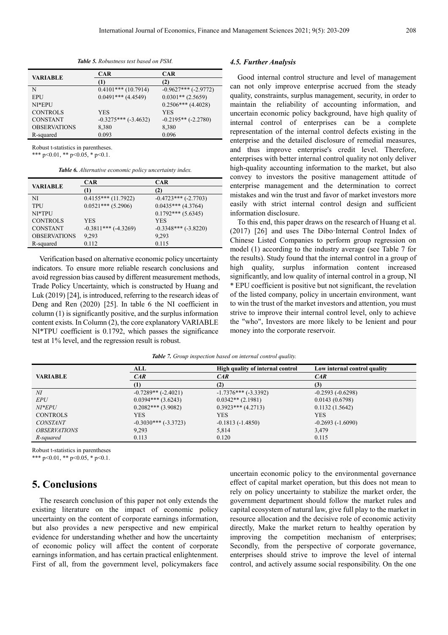*Table 5. Robustness test based on PSM.* 

|                     | <b>CAR</b>                 | <b>CAR</b>             |
|---------------------|----------------------------|------------------------|
| VARIABLE            | (1)                        | (2)                    |
| N                   | $0.4101***(10.7914)$       | $-0.9627***$ (-2.9772) |
| EPU                 | $0.0491***$ (4.4549)       | $0.0301**$ (2.5659)    |
| NI*EPU              |                            | $0.2506***$ (4.4028)   |
| <b>CONTROLS</b>     | YES                        | <b>YES</b>             |
| <b>CONSTANT</b>     | $-0.3275***$ ( $-3.4632$ ) | $-0.2195**(-2.2780)$   |
| <b>OBSERVATIONS</b> | 8,380                      | 8,380                  |
| R-squared           | 0.093                      | 0.096                  |

Robust t-statistics in parentheses.

\*\*\* p<0.01, \*\* p<0.05, \* p<0.1.

*Table 6. Alternative economic policy uncertainty index.* 

|                     | <b>CAR</b>             | <b>CAR</b>            |  |
|---------------------|------------------------|-----------------------|--|
| <b>VARIABLE</b>     | $\left(1\right)$       | (2)                   |  |
| NI                  | $0.4155***(11.7922)$   | $-0.4723***(-2.7703)$ |  |
| <b>TPU</b>          | $0.0521***$ (5.2906)   | $0.0435***$ (4.3764)  |  |
| NI*TPU              |                        | $0.1792***$ (5.6345)  |  |
| <b>CONTROLS</b>     | <b>YES</b>             | <b>YES</b>            |  |
| <b>CONSTANT</b>     | $-0.3811***$ (-4.3269) | $-0.3348***(-3.8220)$ |  |
| <b>OBSERVATIONS</b> | 9,293                  | 9,293                 |  |
| R-squared           | 0.112                  | 0.115                 |  |

Verification based on alternative economic policy uncertainty indicators. To ensure more reliable research conclusions and avoid regression bias caused by different measurement methods, Trade Policy Uncertainty, which is constructed by Huang and Luk (2019) [24], is introduced, referring to the research ideas of Deng and Ren (2020) [25]. In table 6 the NI coefficient in column (1) is significantly positive, and the surplus information content exists. In Column (2), the core explanatory VARIABLE NI\*TPU coefficient is 0.1792, which passes the significance test at 1% level, and the regression result is robust.

#### *4.5. Further Analysis*

Good internal control structure and level of management can not only improve enterprise accrued from the steady quality, constraints, surplus management, security, in order to maintain the reliability of accounting information, and uncertain economic policy background, have high quality of internal control of enterprises can be a complete representation of the internal control defects existing in the enterprise and the detailed disclosure of remedial measures, and thus improve enterprise's credit level. Therefore, enterprises with better internal control quality not only deliver high-quality accounting information to the market, but also convey to investors the positive management attitude of enterprise management and the determination to correct mistakes and win the trust and favor of market investors more easily with strict internal control design and sufficient information disclosure.

To this end, this paper draws on the research of Huang et al. (2017) [26] and uses The Dibo·Internal Control Index of Chinese Listed Companies to perform group regression on model (1) according to the industry average (see Table 7 for the results). Study found that the internal control in a group of high quality, surplus information content increased significantly, and low quality of internal control in a group, NI \* EPU coefficient is positive but not significant, the revelation of the listed company, policy in uncertain environment, want to win the trust of the market investors and attention, you must strive to improve their internal control level, only to achieve the "who", Investors are more likely to be lenient and pour money into the corporate reservoir.

|                            | ALL                    | High quality of internal control | Low internal control quality |
|----------------------------|------------------------|----------------------------------|------------------------------|
| <b>VARIABLE</b>            | CAR                    | CAR                              | CAR                          |
|                            | (1)                    | (2)                              | (3)                          |
| M                          | $-0.7289**(-2.4021)$   | $-1.7376***$ ( $-3.3392$ )       | $-0.2593(-0.6298)$           |
| <b>EPU</b>                 | $0.0394***$ (3.6243)   | $0.0342**$ (2.1981)              | 0.0143(0.6798)               |
| $NI*EPU$                   | $0.2082***$ (3.9082)   | $0.3923***$ (4.2713)             | 0.1132(1.5642)               |
| <b>CONTROLS</b>            | <b>YES</b>             | YES                              | <b>YES</b>                   |
| <b>CONSTANT</b>            | $-0.3030***$ (-3.3723) | $-0.1813(-1.4850)$               | $-0.2693(-1.6090)$           |
| <i><b>OBSERVATIONS</b></i> | 9,293                  | 5,814                            | 3,479                        |
| R-squared                  | 0.113                  | 0.120                            | 0.115                        |

*Table 7. Group inspection based on internal control quality.*

Robust t-statistics in parentheses

\*\*\* p<0.01, \*\* p<0.05, \* p<0.1.

## **5. Conclusions**

The research conclusion of this paper not only extends the existing literature on the impact of economic policy uncertainty on the content of corporate earnings information, but also provides a new perspective and new empirical evidence for understanding whether and how the uncertainty of economic policy will affect the content of corporate earnings information, and has certain practical enlightenment. First of all, from the government level, policymakers face

uncertain economic policy to the environmental governance effect of capital market operation, but this does not mean to rely on policy uncertainty to stabilize the market order, the government department should follow the market rules and capital ecosystem of natural law, give full play to the market in resource allocation and the decisive role of economic activity directly, Make the market return to healthy operation by improving the competition mechanism of enterprises; Secondly, from the perspective of corporate governance, enterprises should strive to improve the level of internal control, and actively assume social responsibility. On the one